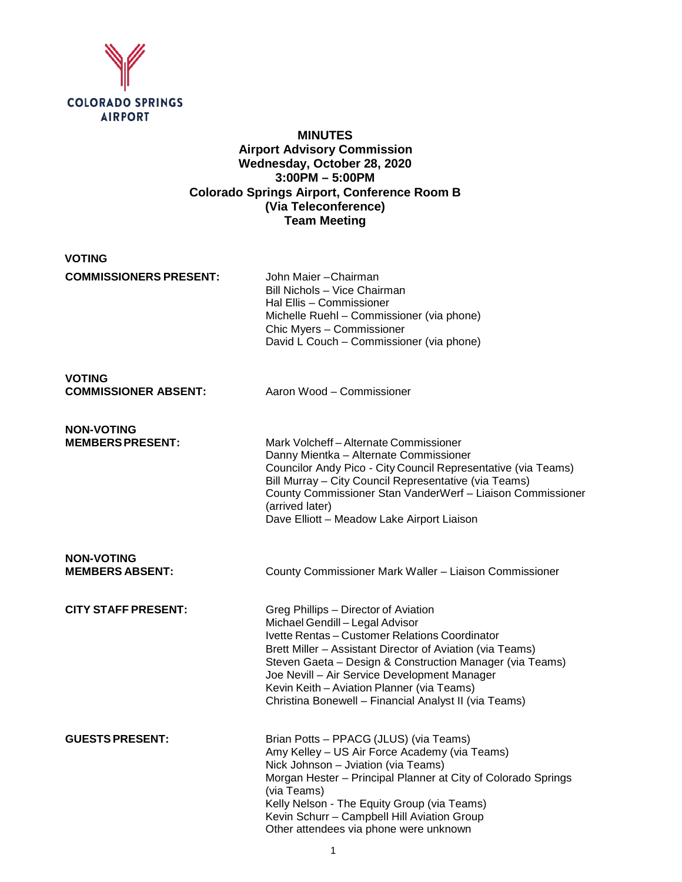

# **MINUTES Airport Advisory Commission Wednesday, October 28, 2020 3:00PM – 5:00PM Colorado Springs Airport, Conference Room B (Via Teleconference) Team Meeting**

| VOTING                                       |                                                                                                                                                                                                         |
|----------------------------------------------|---------------------------------------------------------------------------------------------------------------------------------------------------------------------------------------------------------|
| <b>COMMISSIONERS PRESENT:</b>                | John Maier - Chairman<br>Bill Nichols - Vice Chairman<br>Hal Ellis - Commissioner<br>Michelle Ruehl – Commissioner (via phone)<br>Chic Myers - Commissioner<br>David L Couch – Commissioner (via phone) |
| <b>VOTING</b><br><b>COMMISSIONER ABSENT:</b> | Aaron Wood - Commissioner                                                                                                                                                                               |
| <b>NON-VOTING</b><br><b>MEMBERSPRESENT:</b>  | Mark Volcheff-Alternate Commissioner<br>Danny Mientka – Alternate Commissioner<br>Councilor Andy Digo City Council Deprographetive 6                                                                    |

Councilor Andy Pico - City Council Representative (via Teams) Bill Murray – City Council Representative (via Teams) County Commissioner Stan VanderWerf – Liaison Commissioner (arrived later) Dave Elliott – Meadow Lake Airport Liaison

**NON-VOTING**

**MEMBERS ABSENT:** County Commissioner Mark Waller – Liaison Commissioner

**CITY STAFF PRESENT:** Greg Phillips – Director of Aviation Michael Gendill – Legal Advisor Ivette Rentas – Customer Relations Coordinator Brett Miller – Assistant Director of Aviation (via Teams) Steven Gaeta – Design & Construction Manager (via Teams) Joe Nevill – Air Service Development Manager Kevin Keith – Aviation Planner (via Teams) Christina Bonewell – Financial Analyst II (via Teams)

GUESTS PRESENT: Brian Potts – PPACG (JLUS) (via Teams) Amy Kelley – US Air Force Academy (via Teams) Nick Johnson – Jviation (via Teams) Morgan Hester – Principal Planner at City of Colorado Springs (via Teams) Kelly Nelson - The Equity Group (via Teams) Kevin Schurr – Campbell Hill Aviation Group Other attendees via phone were unknown

1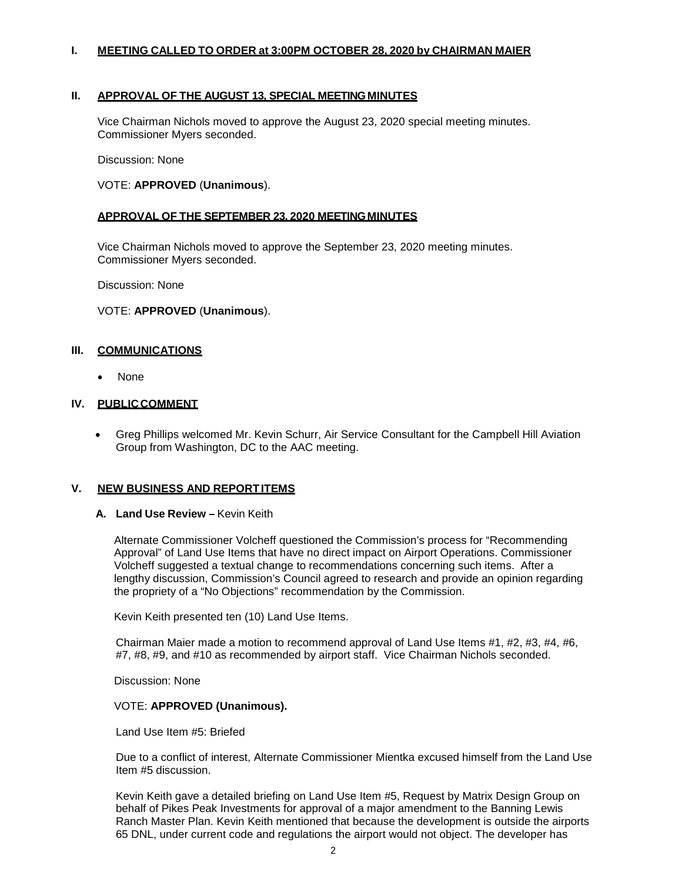## **I. MEETING CALLED TO ORDER at 3:00PM OCTOBER 28, 2020 by CHAIRMAN MAIER**

## **II. APPROVAL OF THE AUGUST 13, SPECIAL MEETINGMINUTES**

Vice Chairman Nichols moved to approve the August 23, 2020 special meeting minutes. Commissioner Myers seconded.

Discussion: None

#### VOTE: **APPROVED** (**Unanimous**).

### **APPROVAL OF THE SEPTEMBER 23, 2020 MEETINGMINUTES**

Vice Chairman Nichols moved to approve the September 23, 2020 meeting minutes. Commissioner Myers seconded.

Discussion: None

#### VOTE: **APPROVED** (**Unanimous**).

### **III. COMMUNICATIONS**

• None

#### **IV. PUBLICCOMMENT**

• Greg Phillips welcomed Mr. Kevin Schurr, Air Service Consultant for the Campbell Hill Aviation Group from Washington, DC to the AAC meeting.

#### **V. NEW BUSINESS AND REPORTITEMS**

#### **A. Land Use Review –** Kevin Keith

Alternate Commissioner Volcheff questioned the Commission's process for "Recommending Approval" of Land Use Items that have no direct impact on Airport Operations. Commissioner Volcheff suggested a textual change to recommendations concerning such items. After a lengthy discussion, Commission's Council agreed to research and provide an opinion regarding the propriety of a "No Objections" recommendation by the Commission.

Kevin Keith presented ten (10) Land Use Items.

Chairman Maier made a motion to recommend approval of Land Use Items #1, #2, #3, #4, #6, #7, #8, #9, and #10 as recommended by airport staff. Vice Chairman Nichols seconded.

Discussion: None

#### VOTE: **APPROVED (Unanimous).**

Land Use Item #5: Briefed

Due to a conflict of interest, Alternate Commissioner Mientka excused himself from the Land Use Item #5 discussion.

Kevin Keith gave a detailed briefing on Land Use Item #5, Request by Matrix Design Group on behalf of Pikes Peak Investments for approval of a major amendment to the Banning Lewis Ranch Master Plan. Kevin Keith mentioned that because the development is outside the airports 65 DNL, under current code and regulations the airport would not object. The developer has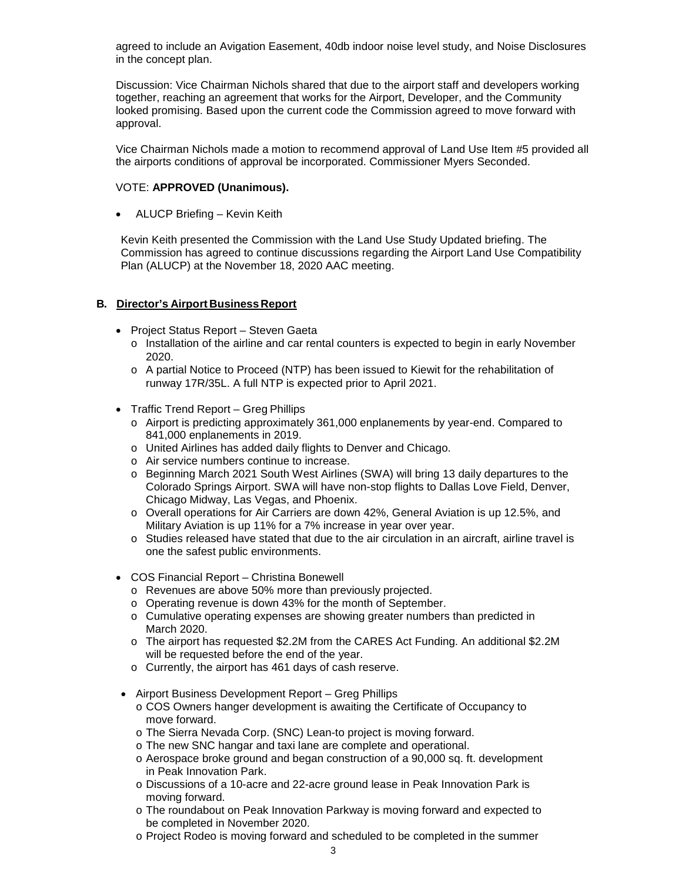agreed to include an Avigation Easement, 40db indoor noise level study, and Noise Disclosures in the concept plan.

Discussion: Vice Chairman Nichols shared that due to the airport staff and developers working together, reaching an agreement that works for the Airport, Developer, and the Community looked promising. Based upon the current code the Commission agreed to move forward with approval.

Vice Chairman Nichols made a motion to recommend approval of Land Use Item #5 provided all the airports conditions of approval be incorporated. Commissioner Myers Seconded.

### VOTE: **APPROVED (Unanimous).**

• ALUCP Briefing – Kevin Keith

Kevin Keith presented the Commission with the Land Use Study Updated briefing. The Commission has agreed to continue discussions regarding the Airport Land Use Compatibility Plan (ALUCP) at the November 18, 2020 AAC meeting.

## **B. Director's Airport Business Report**

- Project Status Report Steven Gaeta
	- o Installation of the airline and car rental counters is expected to begin in early November 2020.
	- o A partial Notice to Proceed (NTP) has been issued to Kiewit for the rehabilitation of runway 17R/35L. A full NTP is expected prior to April 2021.
- Traffic Trend Report Greg Phillips
	- o Airport is predicting approximately 361,000 enplanements by year-end. Compared to 841,000 enplanements in 2019.
	- o United Airlines has added daily flights to Denver and Chicago.
	- o Air service numbers continue to increase.
	- o Beginning March 2021 South West Airlines (SWA) will bring 13 daily departures to the Colorado Springs Airport. SWA will have non-stop flights to Dallas Love Field, Denver, Chicago Midway, Las Vegas, and Phoenix.
	- o Overall operations for Air Carriers are down 42%, General Aviation is up 12.5%, and Military Aviation is up 11% for a 7% increase in year over year.
	- o Studies released have stated that due to the air circulation in an aircraft, airline travel is one the safest public environments.
- COS Financial Report Christina Bonewell
	- o Revenues are above 50% more than previously projected.
	- o Operating revenue is down 43% for the month of September.
	- o Cumulative operating expenses are showing greater numbers than predicted in March 2020.
	- o The airport has requested \$2.2M from the CARES Act Funding. An additional \$2.2M will be requested before the end of the year.
	- o Currently, the airport has 461 days of cash reserve.
- Airport Business Development Report Greg Phillips
	- o COS Owners hanger development is awaiting the Certificate of Occupancy to move forward.
	- o The Sierra Nevada Corp. (SNC) Lean-to project is moving forward.
	- o The new SNC hangar and taxi lane are complete and operational.
	- o Aerospace broke ground and began construction of a 90,000 sq. ft. development in Peak Innovation Park.
	- o Discussions of a 10-acre and 22-acre ground lease in Peak Innovation Park is moving forward.
	- o The roundabout on Peak Innovation Parkway is moving forward and expected to be completed in November 2020.
	- o Project Rodeo is moving forward and scheduled to be completed in the summer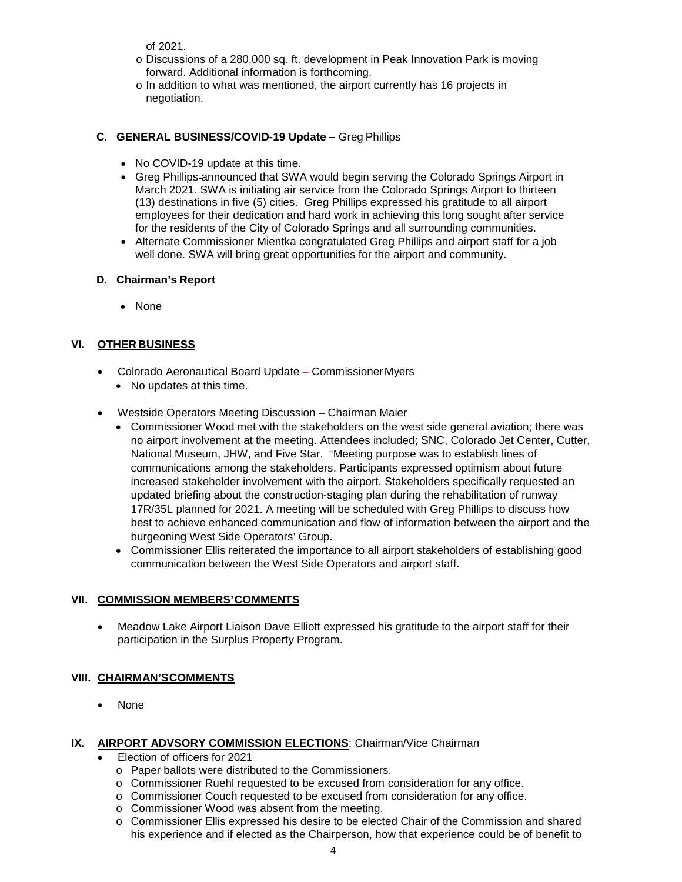of 2021.

- o Discussions of a 280,000 sq. ft. development in Peak Innovation Park is moving forward. Additional information is forthcoming.
- o In addition to what was mentioned, the airport currently has 16 projects in negotiation.

# **C. GENERAL BUSINESS/COVID-19 Update –** Greg Phillips

- No COVID-19 update at this time.
- Greg Phillips announced that SWA would begin serving the Colorado Springs Airport in March 2021. SWA is initiating air service from the Colorado Springs Airport to thirteen (13) destinations in five (5) cities. Greg Phillips expressed his gratitude to all airport employees for their dedication and hard work in achieving this long sought after service for the residents of the City of Colorado Springs and all surrounding communities.
- Alternate Commissioner Mientka congratulated Greg Phillips and airport staff for a job well done. SWA will bring great opportunities for the airport and community.

# **D. Chairman's Report**

• None

# **VI. OTHER BUSINESS**

- Colorado Aeronautical Board Update CommissionerMyers
	- No updates at this time.
- Westside Operators Meeting Discussion Chairman Maier
	- Commissioner Wood met with the stakeholders on the west side general aviation; there was no airport involvement at the meeting. Attendees included; SNC, Colorado Jet Center, Cutter, National Museum, JHW, and Five Star. "Meeting purpose was to establish lines of communications among the stakeholders. Participants expressed optimism about future increased stakeholder involvement with the airport. Stakeholders specifically requested an updated briefing about the construction-staging plan during the rehabilitation of runway 17R/35L planned for 2021. A meeting will be scheduled with Greg Phillips to discuss how best to achieve enhanced communication and flow of information between the airport and the burgeoning West Side Operators' Group.
	- Commissioner Ellis reiterated the importance to all airport stakeholders of establishing good communication between the West Side Operators and airport staff.

# **VII. COMMISSION MEMBERS'COMMENTS**

• Meadow Lake Airport Liaison Dave Elliott expressed his gratitude to the airport staff for their participation in the Surplus Property Program.

# **VIII. CHAIRMAN'SCOMMENTS**

• None

# **IX. AIRPORT ADVSORY COMMISSION ELECTIONS:** Chairman/Vice Chairman

- Election of officers for 2021
	- o Paper ballots were distributed to the Commissioners.
	- o Commissioner Ruehl requested to be excused from consideration for any office.
	- o Commissioner Couch requested to be excused from consideration for any office.
	- o Commissioner Wood was absent from the meeting.
	- o Commissioner Ellis expressed his desire to be elected Chair of the Commission and shared his experience and if elected as the Chairperson, how that experience could be of benefit to